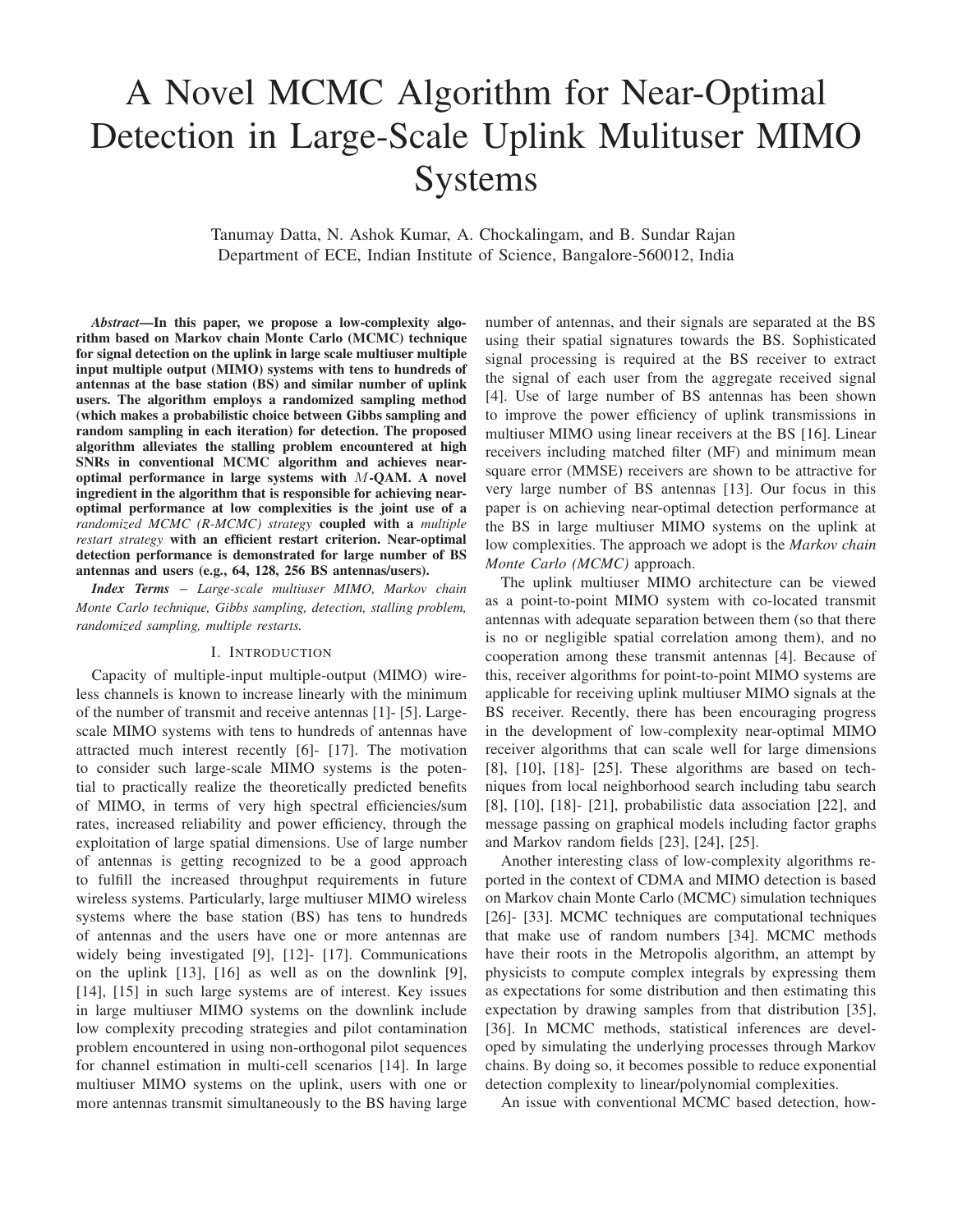# A Novel MCMC Algorithm for Near-Optimal Detection in Large-Scale Uplink Mulituser MIMO Systems

Tanumay Datta, N. Ashok Kumar, A. Chockalingam, and B. Sundar Rajan Department of ECE, Indian Institute of Science, Bangalore-560012, India

*Abstract***—In this paper, we propose a low-complexity algorithm based on Markov chain Monte Carlo (MCMC) technique for signal detection on the uplink in large scale multiuser multiple input multiple output (MIMO) systems with tens to hundreds of antennas at the base station (BS) and similar number of uplink users. The algorithm employs a randomized sampling method (which makes a probabilistic choice between Gibbs sampling and random sampling in each iteration) for detection. The proposed algorithm alleviates the stalling problem encountered at high SNRs in conventional MCMC algorithm and achieves nearoptimal performance in large systems with** M**-QAM. A novel ingredient in the algorithm that is responsible for achieving nearoptimal performance at low complexities is the joint use of a** *randomized MCMC (R-MCMC) strategy* **coupled with a** *multiple restart strategy* **with an efficient restart criterion. Near-optimal detection performance is demonstrated for large number of BS antennas and users (e.g., 64, 128, 256 BS antennas/users).**

*Index Terms* – *Large-scale multiuser MIMO, Markov chain Monte Carlo technique, Gibbs sampling, detection, stalling problem, randomized sampling, multiple restarts.*

#### I. INTRODUCTION

Capacity of multiple-input multiple-output (MIMO) wireless channels is known to increase linearly with the minimum of the number of transmit and receive antennas [1]- [5]. Largescale MIMO systems with tens to hundreds of antennas have attracted much interest recently [6]- [17]. The motivation to consider such large-scale MIMO systems is the potential to practically realize the theoretically predicted benefits of MIMO, in terms of very high spectral efficiencies/sum rates, increased reliability and power efficiency, through the exploitation of large spatial dimensions. Use of large number of antennas is getting recognized to be a good approach to fulfill the increased throughput requirements in future wireless systems. Particularly, large multiuser MIMO wireless systems where the base station (BS) has tens to hundreds of antennas and the users have one or more antennas are widely being investigated [9], [12]- [17]. Communications on the uplink [13], [16] as well as on the downlink [9], [14], [15] in such large systems are of interest. Key issues in large multiuser MIMO systems on the downlink include low complexity precoding strategies and pilot contamination problem encountered in using non-orthogonal pilot sequences for channel estimation in multi-cell scenarios [14]. In large multiuser MIMO systems on the uplink, users with one or more antennas transmit simultaneously to the BS having large

number of antennas, and their signals are separated at the BS using their spatial signatures towards the BS. Sophisticated signal processing is required at the BS receiver to extract the signal of each user from the aggregate received signal [4]. Use of large number of BS antennas has been shown to improve the power efficiency of uplink transmissions in multiuser MIMO using linear receivers at the BS [16]. Linear receivers including matched filter (MF) and minimum mean square error (MMSE) receivers are shown to be attractive for very large number of BS antennas [13]. Our focus in this paper is on achieving near-optimal detection performance at the BS in large multiuser MIMO systems on the uplink at low complexities. The approach we adopt is the *Markov chain Monte Carlo (MCMC)* approach.

The uplink multiuser MIMO architecture can be viewed as a point-to-point MIMO system with co-located transmit antennas with adequate separation between them (so that there is no or negligible spatial correlation among them), and no cooperation among these transmit antennas [4]. Because of this, receiver algorithms for point-to-point MIMO systems are applicable for receiving uplink multiuser MIMO signals at the BS receiver. Recently, there has been encouraging progress in the development of low-complexity near-optimal MIMO receiver algorithms that can scale well for large dimensions [8], [10], [18]- [25]. These algorithms are based on techniques from local neighborhood search including tabu search [8], [10], [18]- [21], probabilistic data association [22], and message passing on graphical models including factor graphs and Markov random fields [23], [24], [25].

Another interesting class of low-complexity algorithms reported in the context of CDMA and MIMO detection is based on Markov chain Monte Carlo (MCMC) simulation techniques [26]- [33]. MCMC techniques are computational techniques that make use of random numbers [34]. MCMC methods have their roots in the Metropolis algorithm, an attempt by physicists to compute complex integrals by expressing them as expectations for some distribution and then estimating this expectation by drawing samples from that distribution [35], [36]. In MCMC methods, statistical inferences are developed by simulating the underlying processes through Markov chains. By doing so, it becomes possible to reduce exponential detection complexity to linear/polynomial complexities.

An issue with conventional MCMC based detection, how-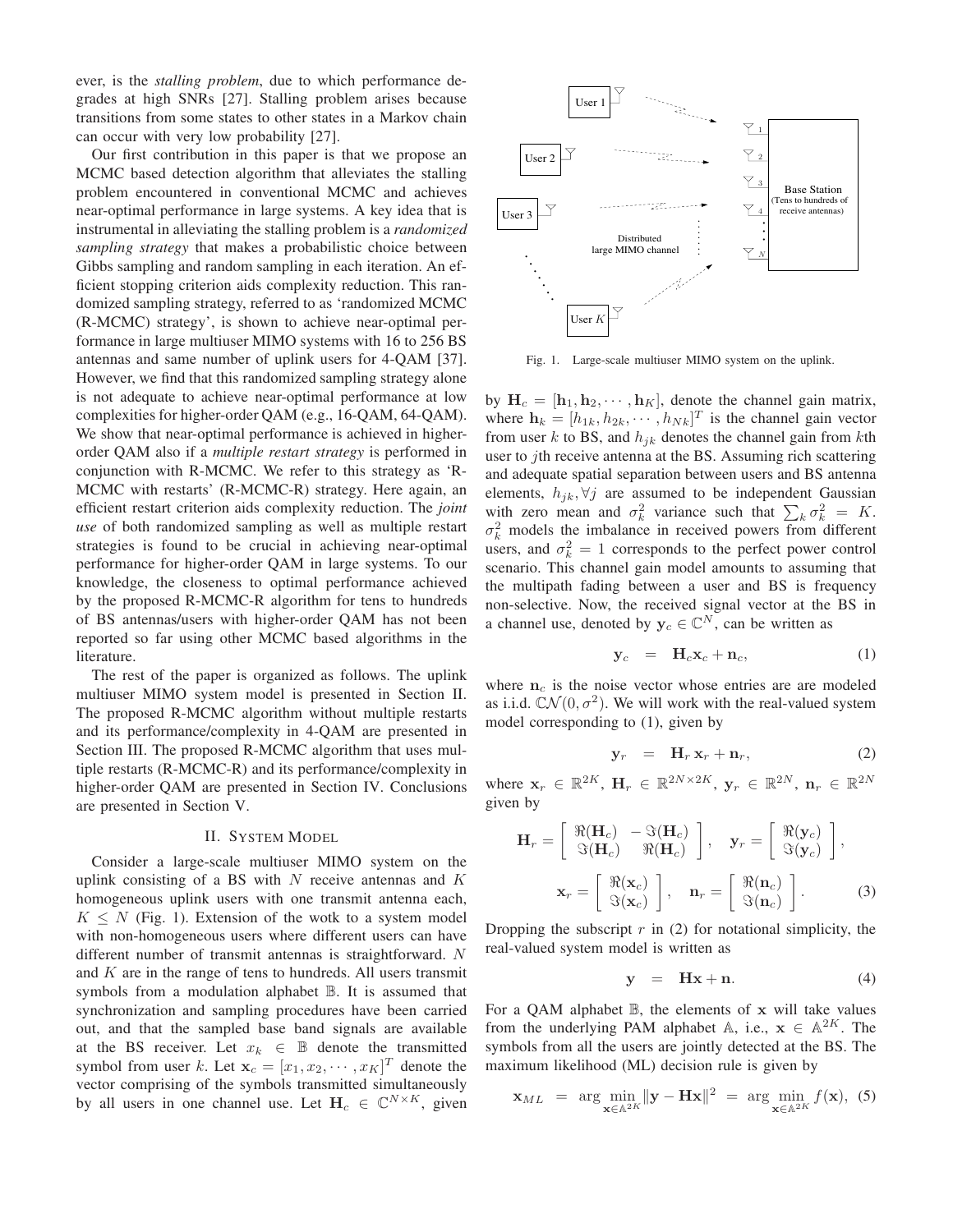ever, is the *stalling problem*, due to which performance degrades at high SNRs [27]. Stalling problem arises because transitions from some states to other states in a Markov chain can occur with very low probability [27].

Our first contribution in this paper is that we propose an MCMC based detection algorithm that alleviates the stalling problem encountered in conventional MCMC and achieves near-optimal performance in large systems. A key idea that is instrumental in alleviating the stalling problem is a *randomized sampling strategy* that makes a probabilistic choice between Gibbs sampling and random sampling in each iteration. An efficient stopping criterion aids complexity reduction. This randomized sampling strategy, referred to as 'randomized MCMC (R-MCMC) strategy', is shown to achieve near-optimal performance in large multiuser MIMO systems with 16 to 256 BS antennas and same number of uplink users for 4-QAM [37]. However, we find that this randomized sampling strategy alone is not adequate to achieve near-optimal performance at low complexities for higher-order QAM (e.g., 16-QAM, 64-QAM). We show that near-optimal performance is achieved in higherorder QAM also if a *multiple restart strategy* is performed in conjunction with R-MCMC. We refer to this strategy as 'R-MCMC with restarts' (R-MCMC-R) strategy. Here again, an efficient restart criterion aids complexity reduction. The *joint use* of both randomized sampling as well as multiple restart strategies is found to be crucial in achieving near-optimal performance for higher-order QAM in large systems. To our knowledge, the closeness to optimal performance achieved by the proposed R-MCMC-R algorithm for tens to hundreds of BS antennas/users with higher-order QAM has not been reported so far using other MCMC based algorithms in the literature.

The rest of the paper is organized as follows. The uplink multiuser MIMO system model is presented in Section II. The proposed R-MCMC algorithm without multiple restarts and its performance/complexity in 4-QAM are presented in Section III. The proposed R-MCMC algorithm that uses multiple restarts (R-MCMC-R) and its performance/complexity in higher-order QAM are presented in Section IV. Conclusions are presented in Section V.

#### II. SYSTEM MODEL

Consider a large-scale multiuser MIMO system on the uplink consisting of a BS with  $N$  receive antennas and  $K$ homogeneous uplink users with one transmit antenna each,  $K \leq N$  (Fig. 1). Extension of the wotk to a system model with non-homogeneous users where different users can have different number of transmit antennas is straightforward. N and  $K$  are in the range of tens to hundreds. All users transmit symbols from a modulation alphabet B. It is assumed that synchronization and sampling procedures have been carried out, and that the sampled base band signals are available at the BS receiver. Let  $x_k \in \mathbb{B}$  denote the transmitted symbol from user k. Let  $\mathbf{x}_c = [x_1, x_2, \cdots, x_K]^T$  denote the vector comprising of the symbols transmitted simultaneously by all users in one channel use. Let  $H_c \in \mathbb{C}^{N \times K}$ , given



Fig. 1. Large-scale multiuser MIMO system on the uplink.

by  $H_c = [h_1, h_2, \dots, h_K]$ , denote the channel gain matrix, where  $\mathbf{h}_k = [h_{1k}, h_{2k}, \cdots, h_{Nk}]^T$  is the channel gain vector from user k to BS, and  $h_{ik}$  denotes the channel gain from kth user to *j*th receive antenna at the BS. Assuming rich scattering and adequate spatial separation between users and BS antenna elements,  $h_{jk}, \forall j$  are assumed to be independent Gaussian with zero mean and  $\sigma_k^2$  variance such that  $\sum_k \sigma_k^2 = K$ .  $\sigma_k^2$  models the imbalance in received powers from different users, and  $\sigma_k^2 = 1$  corresponds to the perfect power control scenario. This channel gain model amounts to assuming that the multipath fading between a user and BS is frequency non-selective. Now, the received signal vector at the BS in a channel use, denoted by  $y_c \in \mathbb{C}^N$ , can be written as

$$
\mathbf{y}_c = \mathbf{H}_c \mathbf{x}_c + \mathbf{n}_c, \tag{1}
$$

where  $n_c$  is the noise vector whose entries are are modeled as i.i.d.  $CN(0, \sigma^2)$ . We will work with the real-valued system model corresponding to (1), given by

$$
\mathbf{y}_r = \mathbf{H}_r \mathbf{x}_r + \mathbf{n}_r, \tag{2}
$$

where  $\mathbf{x}_r \in \mathbb{R}^{2K}$ ,  $\mathbf{H}_r \in \mathbb{R}^{2N \times 2K}$ ,  $\mathbf{y}_r \in \mathbb{R}^{2N}$ ,  $\mathbf{n}_r \in \mathbb{R}^{2N}$ given by

$$
\mathbf{H}_{r} = \begin{bmatrix} \Re(\mathbf{H}_{c}) & -\Im(\mathbf{H}_{c}) \\ \Im(\mathbf{H}_{c}) & \Re(\mathbf{H}_{c}) \end{bmatrix}, \quad \mathbf{y}_{r} = \begin{bmatrix} \Re(\mathbf{y}_{c}) \\ \Im(\mathbf{y}_{c}) \end{bmatrix},
$$

$$
\mathbf{x}_{r} = \begin{bmatrix} \Re(\mathbf{x}_{c}) \\ \Im(\mathbf{x}_{c}) \end{bmatrix}, \quad \mathbf{n}_{r} = \begin{bmatrix} \Re(\mathbf{n}_{c}) \\ \Im(\mathbf{n}_{c}) \end{bmatrix}. \tag{3}
$$

Dropping the subscript  $r$  in (2) for notational simplicity, the real-valued system model is written as

$$
y = Hx + n. \tag{4}
$$

For a QAM alphabet  $\mathbb B$ , the elements of x will take values from the underlying PAM alphabet A, i.e.,  $x \in A^{2K}$ . The symbols from all the users are jointly detected at the BS. The maximum likelihood (ML) decision rule is given by

$$
\mathbf{x}_{ML} = \arg \min_{\mathbf{x} \in \mathbb{A}^{2K}} \|\mathbf{y} - \mathbf{H}\mathbf{x}\|^2 = \arg \min_{\mathbf{x} \in \mathbb{A}^{2K}} f(\mathbf{x}), \tag{5}
$$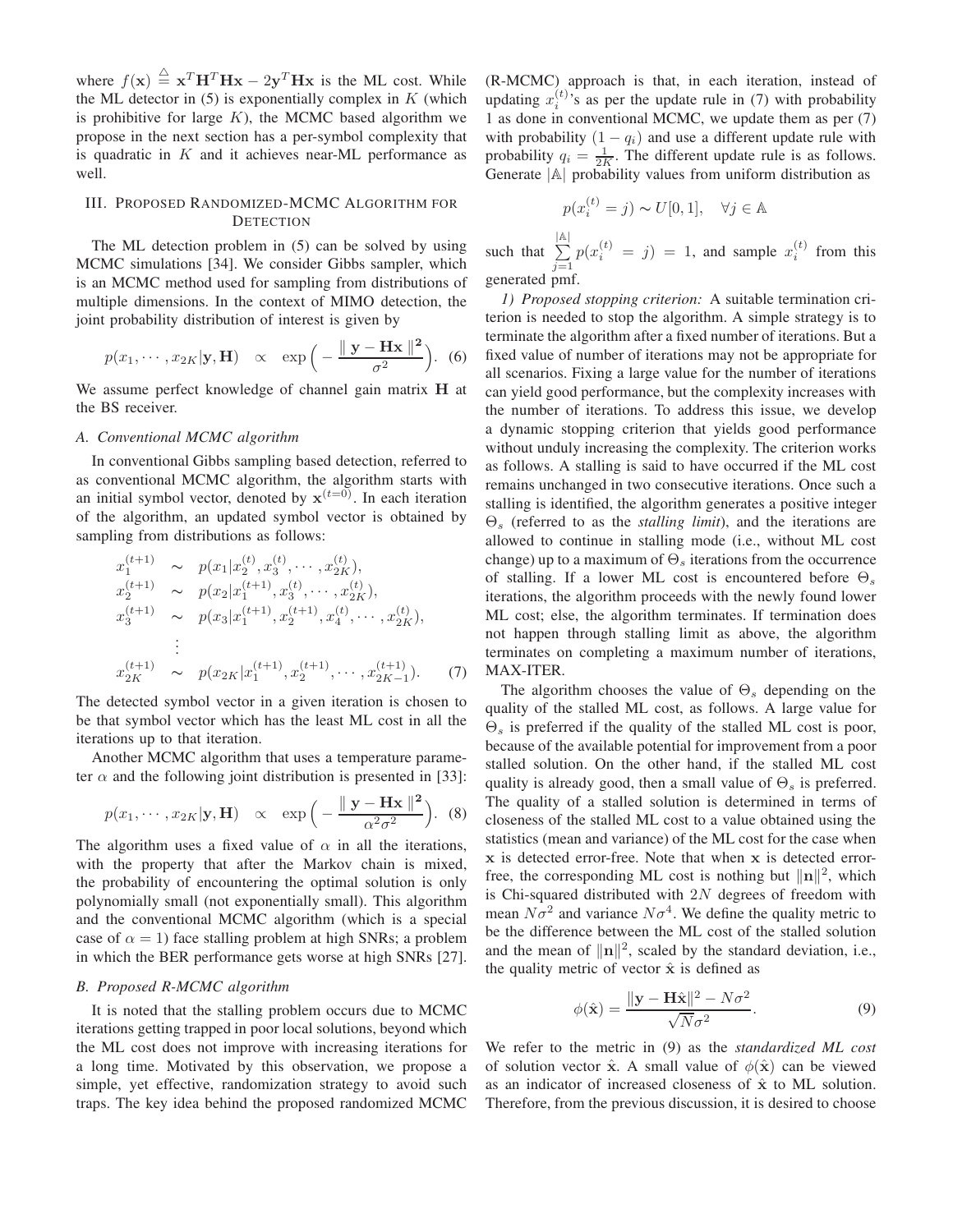where  $f(\mathbf{x}) \triangleq \mathbf{x}^T \mathbf{H}^T \mathbf{H} \mathbf{x} - 2\mathbf{y}^T \mathbf{H} \mathbf{x}$  is the ML cost. While the ML detector in  $(5)$  is exponentially complex in K (which is prohibitive for large  $K$ ), the MCMC based algorithm we propose in the next section has a per-symbol complexity that is quadratic in  $K$  and it achieves near-ML performance as well.

# III. PROPOSED RANDOMIZED-MCMC ALGORITHM FOR **DETECTION**

The ML detection problem in (5) can be solved by using MCMC simulations [34]. We consider Gibbs sampler, which is an MCMC method used for sampling from distributions of multiple dimensions. In the context of MIMO detection, the joint probability distribution of interest is given by

$$
p(x_1, \cdots, x_{2K}|\mathbf{y}, \mathbf{H}) \propto \exp\left(-\frac{\|\mathbf{y} - \mathbf{H}\mathbf{x}\|^2}{\sigma^2}\right).
$$
 (6)

We assume perfect knowledge of channel gain matrix **H** at the BS receiver.

# *A. Conventional MCMC algorithm*

In conventional Gibbs sampling based detection, referred to as conventional MCMC algorithm, the algorithm starts with an initial symbol vector, denoted by  $x^{(t=0)}$ . In each iteration of the algorithm, an updated symbol vector is obtained by sampling from distributions as follows:

$$
x_1^{(t+1)} \sim p(x_1|x_2^{(t)}, x_3^{(t)}, \cdots, x_{2K}^{(t)}),
$$
  
\n
$$
x_2^{(t+1)} \sim p(x_2|x_1^{(t+1)}, x_3^{(t)}, \cdots, x_{2K}^{(t)}),
$$
  
\n
$$
x_3^{(t+1)} \sim p(x_3|x_1^{(t+1)}, x_2^{(t+1)}, x_4^{(t)}, \cdots, x_{2K}^{(t)}),
$$
  
\n
$$
\vdots
$$
  
\n
$$
x_{2K}^{(t+1)} \sim p(x_{2K}|x_1^{(t+1)}, x_2^{(t+1)}, \cdots, x_{2K-1}^{(t+1)}).
$$
 (7)

The detected symbol vector in a given iteration is chosen to be that symbol vector which has the least ML cost in all the iterations up to that iteration.

Another MCMC algorithm that uses a temperature parameter  $\alpha$  and the following joint distribution is presented in [33]:

$$
p(x_1, \cdots, x_{2K}|\mathbf{y}, \mathbf{H}) \propto \exp\left(-\frac{\|\mathbf{y} - \mathbf{H}\mathbf{x}\|^2}{\alpha^2 \sigma^2}\right).
$$
 (8)

The algorithm uses a fixed value of  $\alpha$  in all the iterations, with the property that after the Markov chain is mixed, the probability of encountering the optimal solution is only polynomially small (not exponentially small). This algorithm and the conventional MCMC algorithm (which is a special case of  $\alpha = 1$ ) face stalling problem at high SNRs; a problem in which the BER performance gets worse at high SNRs [27].

### *B. Proposed R-MCMC algorithm*

It is noted that the stalling problem occurs due to MCMC iterations getting trapped in poor local solutions, beyond which the ML cost does not improve with increasing iterations for a long time. Motivated by this observation, we propose a simple, yet effective, randomization strategy to avoid such traps. The key idea behind the proposed randomized MCMC (R-MCMC) approach is that, in each iteration, instead of updating  $x_i^{(t)}$  is as per the update rule in (7) with probability 1 as done in conventional MCMC, we update them as per (7) with probability  $(1 - q_i)$  and use a different update rule with probability  $q_i = \frac{1}{2K}$ . The different update rule is as follows. Generate <sup>|</sup>A<sup>|</sup> probability values from uniform distribution as

$$
p(x_i^{(t)} = j) \sim U[0, 1], \quad \forall j \in \mathbb{A}
$$

such that  $\sum$ |A|  $j=1$  $p(x_i^{(t)} = j) = 1$ , and sample  $x_i^{(t)}$  from this generated pmf.

*1) Proposed stopping criterion:* A suitable termination criterion is needed to stop the algorithm. A simple strategy is to terminate the algorithm after a fixed number of iterations. But a fixed value of number of iterations may not be appropriate for all scenarios. Fixing a large value for the number of iterations can yield good performance, but the complexity increases with the number of iterations. To address this issue, we develop a dynamic stopping criterion that yields good performance without unduly increasing the complexity. The criterion works as follows. A stalling is said to have occurred if the ML cost remains unchanged in two consecutive iterations. Once such a stalling is identified, the algorithm generates a positive integer Θ<sup>s</sup> (referred to as the *stalling limit*), and the iterations are allowed to continue in stalling mode (i.e., without ML cost change) up to a maximum of  $\Theta_s$  iterations from the occurrence of stalling. If a lower ML cost is encountered before  $\Theta_s$ iterations, the algorithm proceeds with the newly found lower ML cost; else, the algorithm terminates. If termination does not happen through stalling limit as above, the algorithm terminates on completing a maximum number of iterations, MAX-ITER.

The algorithm chooses the value of  $\Theta_s$  depending on the quality of the stalled ML cost, as follows. A large value for  $\Theta_s$  is preferred if the quality of the stalled ML cost is poor, because of the available potential for improvement from a poor stalled solution. On the other hand, if the stalled ML cost quality is already good, then a small value of  $\Theta_s$  is preferred. The quality of a stalled solution is determined in terms of closeness of the stalled ML cost to a value obtained using the statistics (mean and variance) of the ML cost for the case when x is detected error-free. Note that when x is detected errorfree, the corresponding ML cost is nothing but  $\|\mathbf{n}\|^2$ , which is Chi-squared distributed with  $2N$  degrees of freedom with mean  $N\sigma^2$  and variance  $N\sigma^4$ . We define the quality metric to be the difference between the ML cost of the stalled solution and the mean of  $\|\mathbf{n}\|^2$ , scaled by the standard deviation, i.e., the quality metric of vector  $\hat{x}$  is defined as

$$
\phi(\hat{\mathbf{x}}) = \frac{\|\mathbf{y} - \mathbf{H}\hat{\mathbf{x}}\|^2 - N\sigma^2}{\sqrt{N}\sigma^2}.
$$
\n(9)

We refer to the metric in (9) as the *standardized ML cost* of solution vector  $\hat{\mathbf{x}}$ . A small value of  $\phi(\hat{\mathbf{x}})$  can be viewed as an indicator of increased closeness of  $\hat{x}$  to ML solution. Therefore, from the previous discussion, it is desired to choose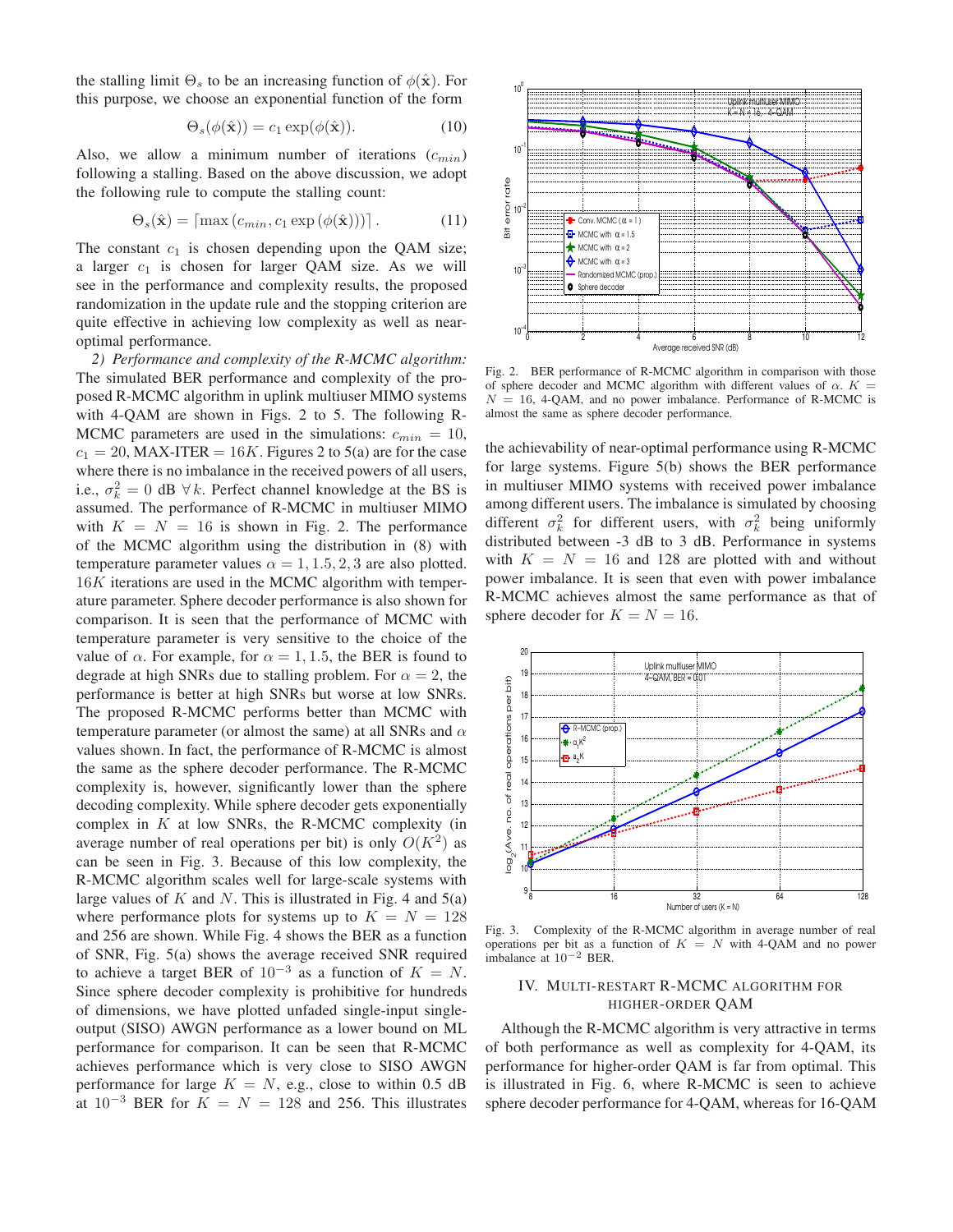the stalling limit  $\Theta_s$  to be an increasing function of  $\phi(\hat{\mathbf{x}})$ . For this purpose, we choose an exponential function of the form

$$
\Theta_s(\phi(\hat{\mathbf{x}})) = c_1 \exp(\phi(\hat{\mathbf{x}})). \tag{10}
$$

Also, we allow a minimum number of iterations  $(c_{min})$ following a stalling. Based on the above discussion, we adopt the following rule to compute the stalling count:

$$
\Theta_s(\hat{\mathbf{x}}) = \lceil \max(c_{min}, c_1 \exp(\phi(\hat{\mathbf{x}}))) \rceil. \tag{11}
$$

The constant  $c_1$  is chosen depending upon the QAM size; a larger  $c_1$  is chosen for larger QAM size. As we will see in the performance and complexity results, the proposed randomization in the update rule and the stopping criterion are quite effective in achieving low complexity as well as nearoptimal performance.

*2) Performance and complexity of the R-MCMC algorithm:* The simulated BER performance and complexity of the proposed R-MCMC algorithm in uplink multiuser MIMO systems with 4-QAM are shown in Figs. 2 to 5. The following R-MCMC parameters are used in the simulations:  $c_{min} = 10$ ,  $c_1 = 20$ , MAX-ITER = 16K. Figures 2 to 5(a) are for the case where there is no imbalance in the received powers of all users, i.e.,  $\sigma_k^2 = 0$  dB  $\forall k$ . Perfect channel knowledge at the BS is assumed. The performance of R-MCMC in multiuser MIMO with  $K = N = 16$  is shown in Fig. 2. The performance of the MCMC algorithm using the distribution in (8) with temperature parameter values  $\alpha = 1, 1.5, 2, 3$  are also plotted. 16K iterations are used in the MCMC algorithm with temperature parameter. Sphere decoder performance is also shown for comparison. It is seen that the performance of MCMC with temperature parameter is very sensitive to the choice of the value of  $\alpha$ . For example, for  $\alpha = 1, 1.5$ , the BER is found to degrade at high SNRs due to stalling problem. For  $\alpha = 2$ , the performance is better at high SNRs but worse at low SNRs. The proposed R-MCMC performs better than MCMC with temperature parameter (or almost the same) at all SNRs and  $\alpha$ values shown. In fact, the performance of R-MCMC is almost the same as the sphere decoder performance. The R-MCMC complexity is, however, significantly lower than the sphere decoding complexity. While sphere decoder gets exponentially complex in  $K$  at low SNRs, the R-MCMC complexity (in average number of real operations per bit) is only  $O(K^2)$  as can be seen in Fig. 3. Because of this low complexity, the R-MCMC algorithm scales well for large-scale systems with large values of K and N. This is illustrated in Fig. 4 and  $5(a)$ where performance plots for systems up to  $K = N = 128$ and 256 are shown. While Fig. 4 shows the BER as a function of SNR, Fig. 5(a) shows the average received SNR required to achieve a target BER of  $10^{-3}$  as a function of  $K = N$ . Since sphere decoder complexity is prohibitive for hundreds of dimensions, we have plotted unfaded single-input singleoutput (SISO) AWGN performance as a lower bound on ML performance for comparison. It can be seen that R-MCMC achieves performance which is very close to SISO AWGN performance for large  $K = N$ , e.g., close to within 0.5 dB at  $10^{-3}$  BER for  $K = N = 128$  and 256. This illustrates



Fig. 2. BER performance of R-MCMC algorithm in comparison with those of sphere decoder and MCMC algorithm with different values of  $\alpha$ .  $K =$  $N = 16$ , 4-QAM, and no power imbalance. Performance of R-MCMC is almost the same as sphere decoder performance.

the achievability of near-optimal performance using R-MCMC for large systems. Figure 5(b) shows the BER performance in multiuser MIMO systems with received power imbalance among different users. The imbalance is simulated by choosing different  $\sigma_k^2$  for different users, with  $\sigma_k^2$  being uniformly distributed between -3 dB to 3 dB. Performance in systems with  $K = N = 16$  and 128 are plotted with and without power imbalance. It is seen that even with power imbalance R-MCMC achieves almost the same performance as that of sphere decoder for  $K = N = 16$ .



Fig. 3. Complexity of the R-MCMC algorithm in average number of real operations per bit as a function of  $K = N$  with 4-QAM and no power imbalance at 10−<sup>2</sup> BER.

# IV. MULTI-RESTART R-MCMC ALGORITHM FOR HIGHER-ORDER QAM

Although the R-MCMC algorithm is very attractive in terms of both performance as well as complexity for 4-QAM, its performance for higher-order QAM is far from optimal. This is illustrated in Fig. 6, where R-MCMC is seen to achieve sphere decoder performance for 4-QAM, whereas for 16-QAM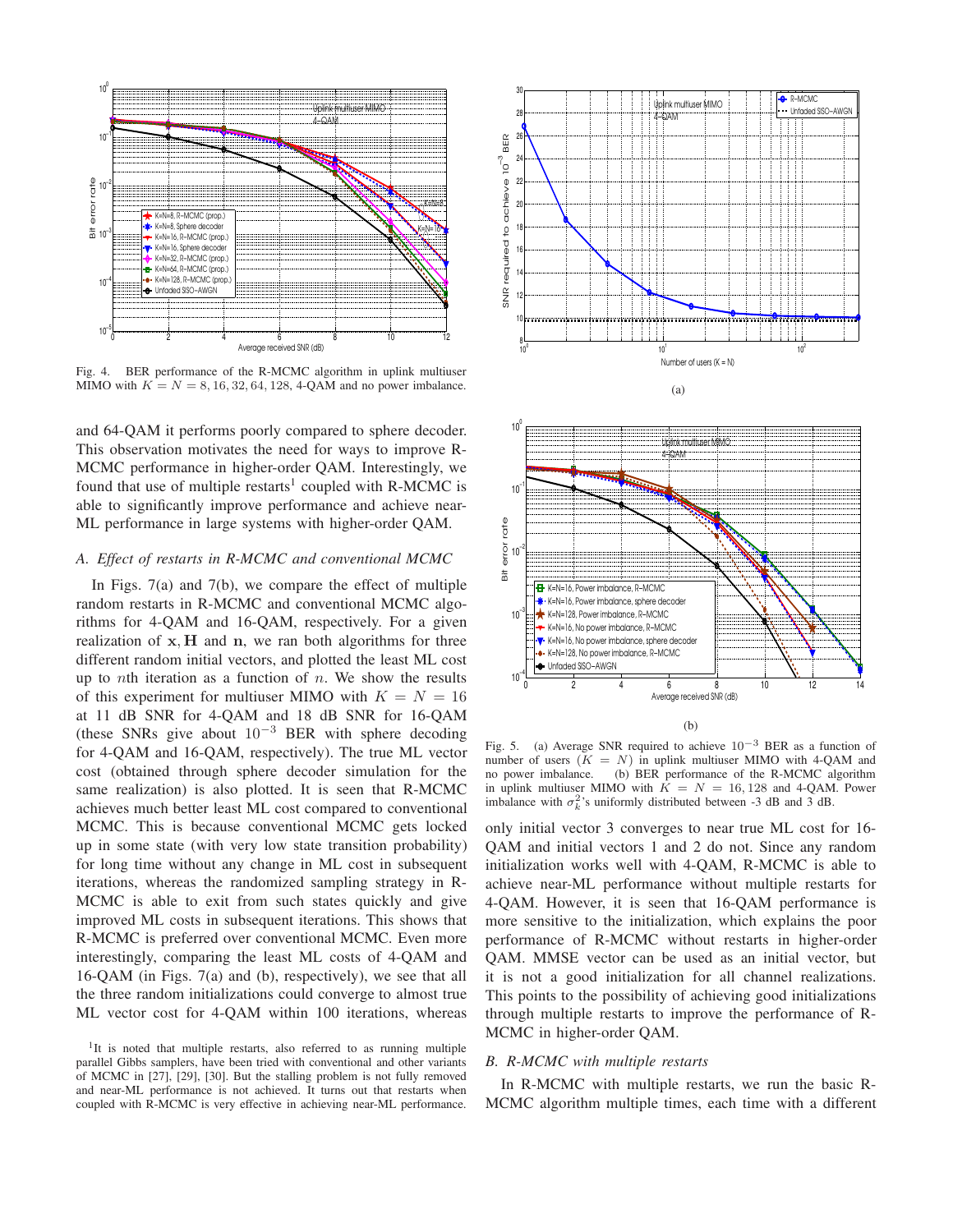

Fig. 4. BER performance of the R-MCMC algorithm in uplink multiuser MIMO with  $K = N = 8, 16, 32, 64, 128, 4$ -QAM and no power imbalance.

and 64-QAM it performs poorly compared to sphere decoder. This observation motivates the need for ways to improve R-MCMC performance in higher-order QAM. Interestingly, we found that use of multiple restarts<sup>1</sup> coupled with R-MCMC is able to significantly improve performance and achieve near-ML performance in large systems with higher-order QAM.

# *A. Effect of restarts in R-MCMC and conventional MCMC*

In Figs. 7(a) and 7(b), we compare the effect of multiple random restarts in R-MCMC and conventional MCMC algorithms for 4-QAM and 16-QAM, respectively. For a given realization of  $x$ ,  $H$  and  $n$ , we ran both algorithms for three different random initial vectors, and plotted the least ML cost up to *n*th iteration as a function of  $n$ . We show the results of this experiment for multiuser MIMO with  $K = N = 16$ at 11 dB SNR for 4-QAM and 18 dB SNR for 16-QAM (these SNRs give about  $10^{-3}$  BER with sphere decoding for 4-QAM and 16-QAM, respectively). The true ML vector cost (obtained through sphere decoder simulation for the same realization) is also plotted. It is seen that R-MCMC achieves much better least ML cost compared to conventional MCMC. This is because conventional MCMC gets locked up in some state (with very low state transition probability) for long time without any change in ML cost in subsequent iterations, whereas the randomized sampling strategy in R-MCMC is able to exit from such states quickly and give improved ML costs in subsequent iterations. This shows that R-MCMC is preferred over conventional MCMC. Even more interestingly, comparing the least ML costs of 4-QAM and 16-QAM (in Figs. 7(a) and (b), respectively), we see that all the three random initializations could converge to almost true ML vector cost for 4-QAM within 100 iterations, whereas





(b)

Fig. 5. (a) Average SNR required to achieve  $10^{-3}$  BER as a function of number of users  $(K = N)$  in uplink multiuser MIMO with 4-QAM and no power imbalance. (b) BER performance of the R-MCMC algorithm in uplink multiuser MIMO with  $\overline{K} = N = 16, 128$  and 4-QAM. Power imbalance with  $\sigma_k^2$ 's uniformly distributed between -3 dB and 3 dB.

only initial vector 3 converges to near true ML cost for 16- QAM and initial vectors 1 and 2 do not. Since any random initialization works well with 4-QAM, R-MCMC is able to achieve near-ML performance without multiple restarts for 4-QAM. However, it is seen that 16-QAM performance is more sensitive to the initialization, which explains the poor performance of R-MCMC without restarts in higher-order QAM. MMSE vector can be used as an initial vector, but it is not a good initialization for all channel realizations. This points to the possibility of achieving good initializations through multiple restarts to improve the performance of R-MCMC in higher-order QAM.

#### *B. R-MCMC with multiple restarts*

In R-MCMC with multiple restarts, we run the basic R-MCMC algorithm multiple times, each time with a different

<sup>&</sup>lt;sup>1</sup>It is noted that multiple restarts, also referred to as running multiple parallel Gibbs samplers, have been tried with conventional and other variants of MCMC in [27], [29], [30]. But the stalling problem is not fully removed and near-ML performance is not achieved. It turns out that restarts when coupled with R-MCMC is very effective in achieving near-ML performance.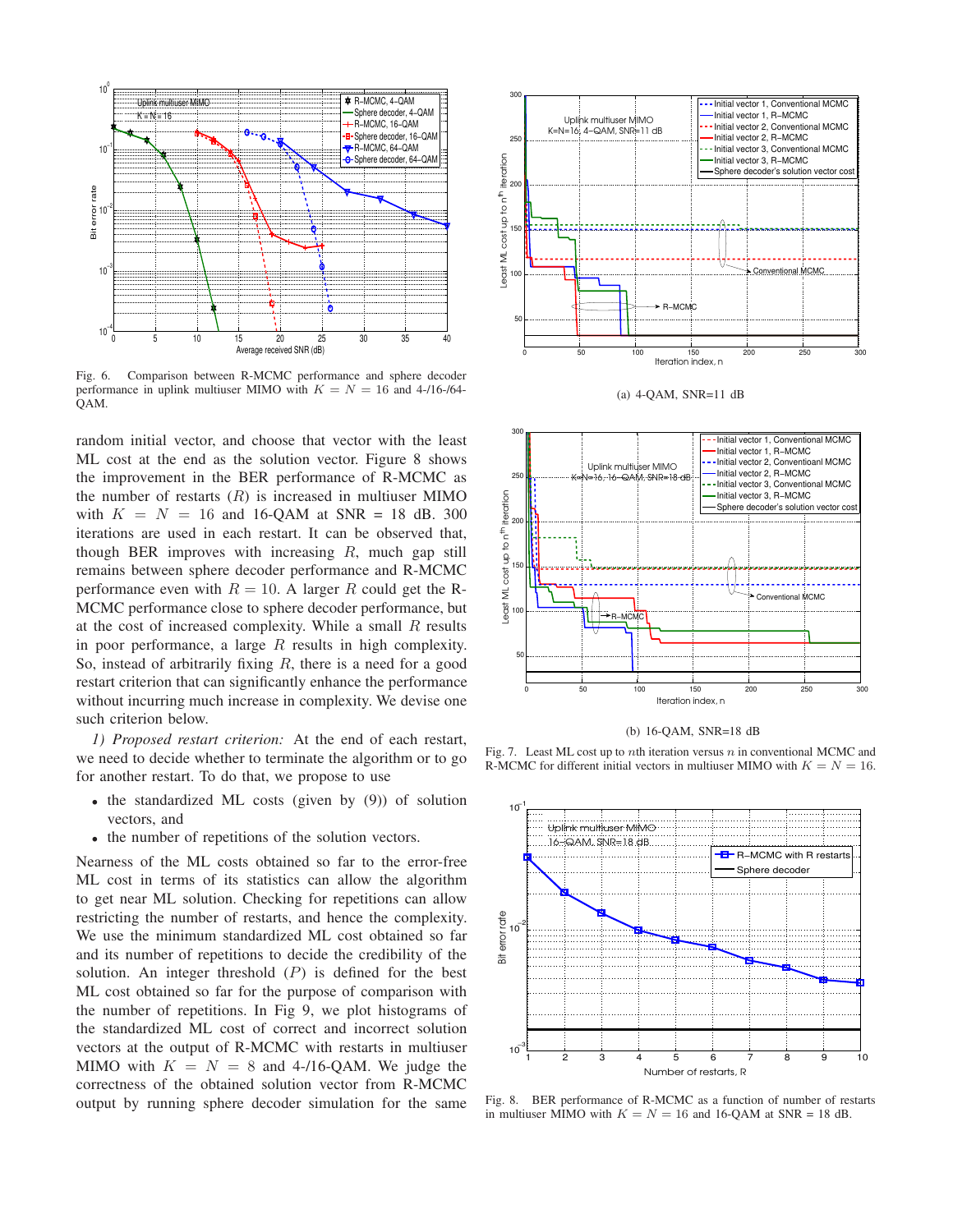

Fig. 6. Comparison between R-MCMC performance and sphere decoder performance in uplink multiuser MIMO with  $K = N = 16$  and 4-/16-/64-QAM.

random initial vector, and choose that vector with the least ML cost at the end as the solution vector. Figure 8 shows the improvement in the BER performance of R-MCMC as the number of restarts  $(R)$  is increased in multiuser MIMO with  $K = N = 16$  and 16-QAM at SNR = 18 dB. 300 iterations are used in each restart. It can be observed that, though BER improves with increasing  $R$ , much gap still remains between sphere decoder performance and R-MCMC performance even with  $R = 10$ . A larger R could get the R-MCMC performance close to sphere decoder performance, but at the cost of increased complexity. While a small  $R$  results in poor performance, a large  $R$  results in high complexity. So, instead of arbitrarily fixing  $R$ , there is a need for a good restart criterion that can significantly enhance the performance without incurring much increase in complexity. We devise one such criterion below.

*1) Proposed restart criterion:* At the end of each restart, we need to decide whether to terminate the algorithm or to go for another restart. To do that, we propose to use

- the standardized ML costs (given by (9)) of solution vectors, and
- the number of repetitions of the solution vectors.

Nearness of the ML costs obtained so far to the error-free ML cost in terms of its statistics can allow the algorithm to get near ML solution. Checking for repetitions can allow restricting the number of restarts, and hence the complexity. We use the minimum standardized ML cost obtained so far and its number of repetitions to decide the credibility of the solution. An integer threshold  $(P)$  is defined for the best ML cost obtained so far for the purpose of comparison with the number of repetitions. In Fig 9, we plot histograms of the standardized ML cost of correct and incorrect solution vectors at the output of R-MCMC with restarts in multiuser MIMO with  $K = N = 8$  and 4-/16-QAM. We judge the correctness of the obtained solution vector from R-MCMC output by running sphere decoder simulation for the same



(a) 4-QAM, SNR=11 dB



(b) 16-QAM, SNR=18 dB

Fig. 7. Least ML cost up to nth iteration versus  $n$  in conventional MCMC and R-MCMC for different initial vectors in multiuser MIMO with  $K = N = 16$ .



Fig. 8. BER performance of R-MCMC as a function of number of restarts in multiuser MIMO with  $K = N = 16$  and 16-QAM at SNR = 18 dB.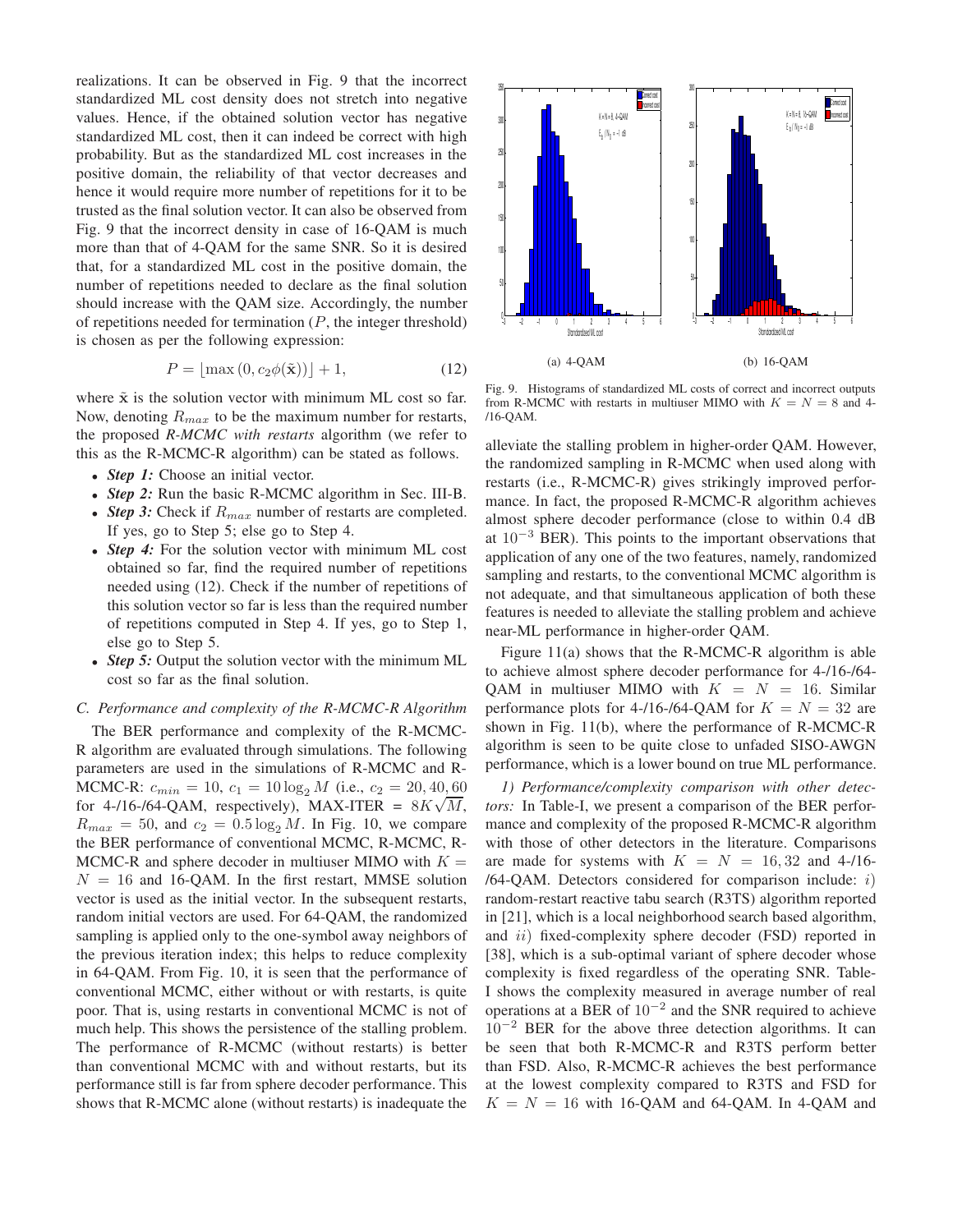realizations. It can be observed in Fig. 9 that the incorrect standardized ML cost density does not stretch into negative values. Hence, if the obtained solution vector has negative standardized ML cost, then it can indeed be correct with high probability. But as the standardized ML cost increases in the positive domain, the reliability of that vector decreases and hence it would require more number of repetitions for it to be trusted as the final solution vector. It can also be observed from Fig. 9 that the incorrect density in case of 16-QAM is much more than that of 4-QAM for the same SNR. So it is desired that, for a standardized ML cost in the positive domain, the number of repetitions needed to declare as the final solution should increase with the QAM size. Accordingly, the number of repetitions needed for termination  $(P,$  the integer threshold) is chosen as per the following expression:

$$
P = \lfloor \max(0, c_2 \phi(\tilde{\mathbf{x}})) \rfloor + 1,\tag{12}
$$

where  $\tilde{x}$  is the solution vector with minimum ML cost so far. Now, denoting  $R_{max}$  to be the maximum number for restarts, the proposed *R-MCMC with restarts* algorithm (we refer to this as the R-MCMC-R algorithm) can be stated as follows.

- *Step 1:* Choose an initial vector.
- *Step 2:* Run the basic R-MCMC algorithm in Sec. III-B.
- *Step 3:* Check if  $R_{max}$  number of restarts are completed. If yes, go to Step 5; else go to Step 4.
- *Step 4*: For the solution vector with minimum ML cost obtained so far, find the required number of repetitions needed using (12). Check if the number of repetitions of this solution vector so far is less than the required number of repetitions computed in Step 4. If yes, go to Step 1, else go to Step 5.
- *Step 5:* Output the solution vector with the minimum ML cost so far as the final solution.

# *C. Performance and complexity of the R-MCMC-R Algorithm*

The BER performance and complexity of the R-MCMC-R algorithm are evaluated through simulations. The following parameters are used in the simulations of R-MCMC and R-MCMC-R:  $c_{min} = 10$ ,  $c_1 = 10 \log_2 M$  (i.e.,  $c_2 = 20, 40, 60$ ) for 4-/16-/64-QAM, respectively), MAX-ITER =  $8K\sqrt{M}$ ,  $R_{max} = 50$ , and  $c_2 = 0.5 \log_2 M$ . In Fig. 10, we compare the BER performance of conventional MCMC, R-MCMC, R-MCMC-R and sphere decoder in multiuser MIMO with  $K =$  $N = 16$  and 16-QAM. In the first restart, MMSE solution vector is used as the initial vector. In the subsequent restarts, random initial vectors are used. For 64-QAM, the randomized sampling is applied only to the one-symbol away neighbors of the previous iteration index; this helps to reduce complexity in 64-QAM. From Fig. 10, it is seen that the performance of conventional MCMC, either without or with restarts, is quite poor. That is, using restarts in conventional MCMC is not of much help. This shows the persistence of the stalling problem. The performance of R-MCMC (without restarts) is better than conventional MCMC with and without restarts, but its performance still is far from sphere decoder performance. This shows that R-MCMC alone (without restarts) is inadequate the



Fig. 9. Histograms of standardized ML costs of correct and incorrect outputs from R-MCMC with restarts in multiuser MIMO with  $K = N = 8$  and 4-/16-QAM.

alleviate the stalling problem in higher-order QAM. However, the randomized sampling in R-MCMC when used along with restarts (i.e., R-MCMC-R) gives strikingly improved performance. In fact, the proposed R-MCMC-R algorithm achieves almost sphere decoder performance (close to within 0.4 dB at  $10^{-3}$  BER). This points to the important observations that application of any one of the two features, namely, randomized sampling and restarts, to the conventional MCMC algorithm is not adequate, and that simultaneous application of both these features is needed to alleviate the stalling problem and achieve near-ML performance in higher-order QAM.

Figure 11(a) shows that the R-MCMC-R algorithm is able to achieve almost sphere decoder performance for 4-/16-/64- QAM in multiuser MIMO with  $K = N = 16$ . Similar performance plots for 4-/16-/64-QAM for  $K = N = 32$  are shown in Fig. 11(b), where the performance of R-MCMC-R algorithm is seen to be quite close to unfaded SISO-AWGN performance, which is a lower bound on true ML performance.

*1) Performance/complexity comparison with other detectors:* In Table-I, we present a comparison of the BER performance and complexity of the proposed R-MCMC-R algorithm with those of other detectors in the literature. Comparisons are made for systems with  $K = N = 16, 32$  and 4-/16-/64-QAM. Detectors considered for comparison include:  $i$ ) random-restart reactive tabu search (R3TS) algorithm reported in [21], which is a local neighborhood search based algorithm, and *ii*) fixed-complexity sphere decoder (FSD) reported in [38], which is a sub-optimal variant of sphere decoder whose complexity is fixed regardless of the operating SNR. Table-I shows the complexity measured in average number of real operations at a BER of 10−<sup>2</sup> and the SNR required to achieve  $10^{-2}$  BER for the above three detection algorithms. It can be seen that both R-MCMC-R and R3TS perform better than FSD. Also, R-MCMC-R achieves the best performance at the lowest complexity compared to R3TS and FSD for  $K = N = 16$  with 16-QAM and 64-QAM. In 4-QAM and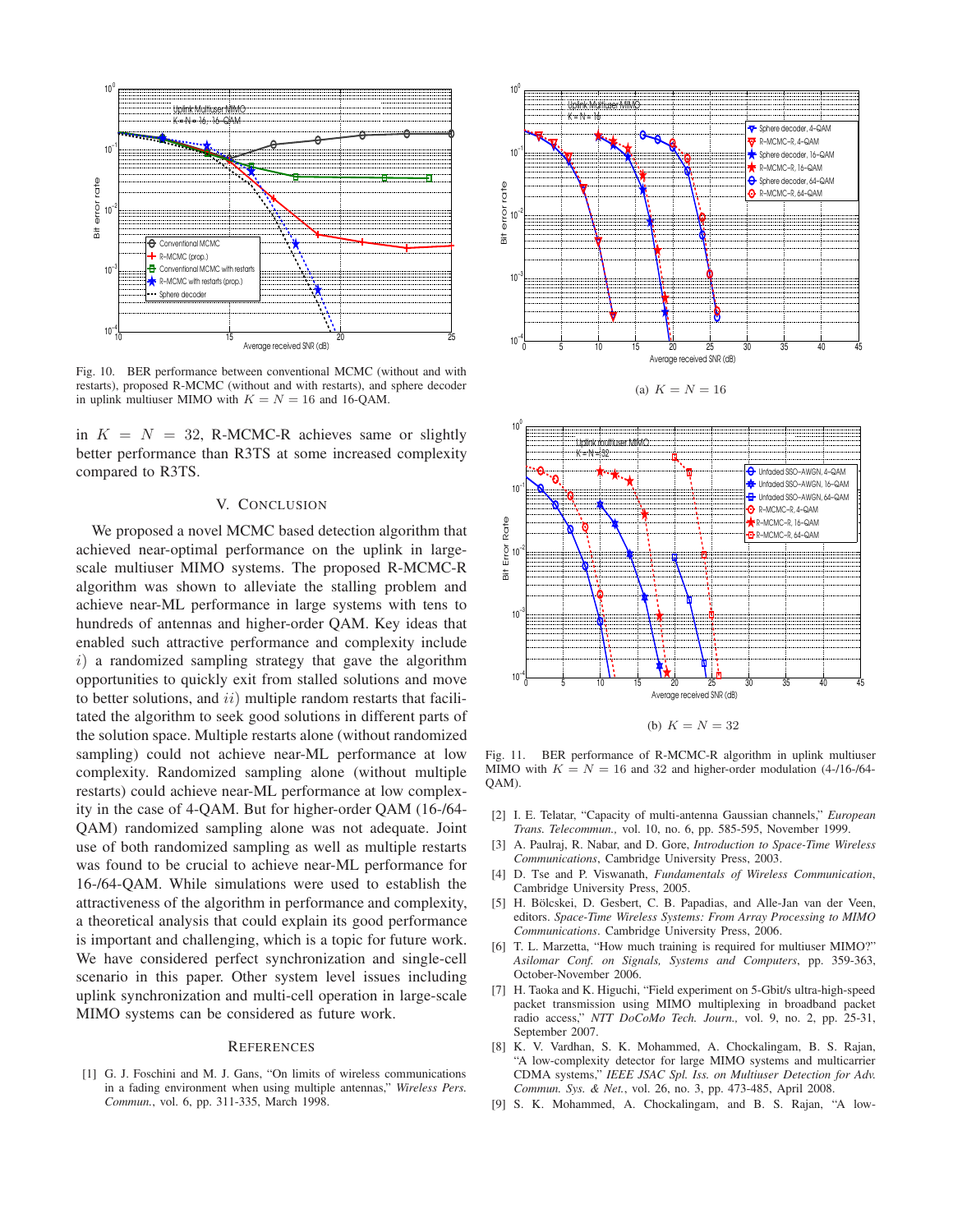

Fig. 10. BER performance between conventional MCMC (without and with restarts), proposed R-MCMC (without and with restarts), and sphere decoder in uplink multiuser MIMO with  $K = N = 16$  and 16-QAM.

in  $K = N = 32$ , R-MCMC-R achieves same or slightly better performance than R3TS at some increased complexity compared to R3TS.

### V. CONCLUSION

We proposed a novel MCMC based detection algorithm that achieved near-optimal performance on the uplink in largescale multiuser MIMO systems. The proposed R-MCMC-R algorithm was shown to alleviate the stalling problem and achieve near-ML performance in large systems with tens to hundreds of antennas and higher-order QAM. Key ideas that enabled such attractive performance and complexity include  $i)$  a randomized sampling strategy that gave the algorithm opportunities to quickly exit from stalled solutions and move to better solutions, and  $ii)$  multiple random restarts that facilitated the algorithm to seek good solutions in different parts of the solution space. Multiple restarts alone (without randomized sampling) could not achieve near-ML performance at low complexity. Randomized sampling alone (without multiple restarts) could achieve near-ML performance at low complexity in the case of 4-QAM. But for higher-order QAM (16-/64- QAM) randomized sampling alone was not adequate. Joint use of both randomized sampling as well as multiple restarts was found to be crucial to achieve near-ML performance for 16-/64-QAM. While simulations were used to establish the attractiveness of the algorithm in performance and complexity, a theoretical analysis that could explain its good performance is important and challenging, which is a topic for future work. We have considered perfect synchronization and single-cell scenario in this paper. Other system level issues including uplink synchronization and multi-cell operation in large-scale MIMO systems can be considered as future work.

#### **REFERENCES**

[1] G. J. Foschini and M. J. Gans, "On limits of wireless communications in a fading environment when using multiple antennas," *Wireless Pers. Commun.*, vol. 6, pp. 311-335, March 1998.







(b)  $K = N = 32$ 

Fig. 11. BER performance of R-MCMC-R algorithm in uplink multiuser MIMO with  $K = N = 16$  and 32 and higher-order modulation (4-/16-/64-QAM).

- [2] I. E. Telatar, "Capacity of multi-antenna Gaussian channels," *European Trans. Telecommun.,* vol. 10, no. 6, pp. 585-595, November 1999.
- [3] A. Paulraj, R. Nabar, and D. Gore, *Introduction to Space-Time Wireless Communications*, Cambridge University Press, 2003.
- [4] D. Tse and P. Viswanath, *Fundamentals of Wireless Communication*, Cambridge University Press, 2005.
- [5] H. Bölcskei, D. Gesbert, C. B. Papadias, and Alle-Jan van der Veen, editors. *Space-Time Wireless Systems: From Array Processing to MIMO Communications*. Cambridge University Press, 2006.
- [6] T. L. Marzetta, "How much training is required for multiuser MIMO?" *Asilomar Conf. on Signals, Systems and Computers*, pp. 359-363, October-November 2006.
- [7] H. Taoka and K. Higuchi, "Field experiment on 5-Gbit/s ultra-high-speed packet transmission using MIMO multiplexing in broadband packet radio access," *NTT DoCoMo Tech. Journ.,* vol. 9, no. 2, pp. 25-31, September 2007.
- [8] K. V. Vardhan, S. K. Mohammed, A. Chockalingam, B. S. Rajan, "A low-complexity detector for large MIMO systems and multicarrier CDMA systems," *IEEE JSAC Spl. Iss. on Multiuser Detection for Adv. Commun. Sys. & Net.*, vol. 26, no. 3, pp. 473-485, April 2008.
- [9] S. K. Mohammed, A. Chockalingam, and B. S. Rajan, "A low-